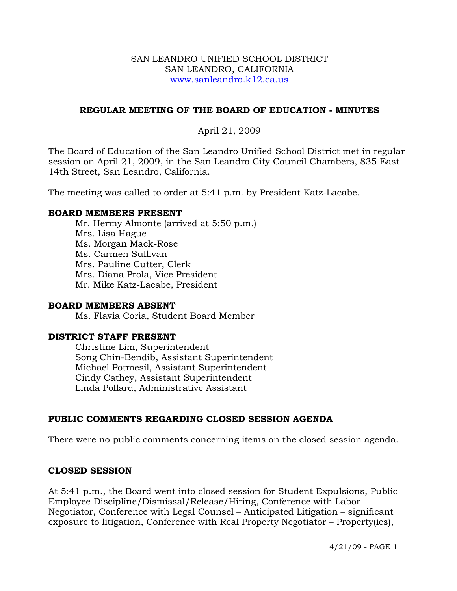#### SAN LEANDRO UNIFIED SCHOOL DISTRICT SAN LEANDRO, CALIFORNIA www.sanleandro.k12.ca.us

### **REGULAR MEETING OF THE BOARD OF EDUCATION - MINUTES**

### April 21, 2009

The Board of Education of the San Leandro Unified School District met in regular session on April 21, 2009, in the San Leandro City Council Chambers, 835 East 14th Street, San Leandro, California.

The meeting was called to order at 5:41 p.m. by President Katz-Lacabe.

#### **BOARD MEMBERS PRESENT**

Mr. Hermy Almonte (arrived at 5:50 p.m.) Mrs. Lisa Hague Ms. Morgan Mack-Rose Ms. Carmen Sullivan Mrs. Pauline Cutter, Clerk Mrs. Diana Prola, Vice President Mr. Mike Katz-Lacabe, President

#### **BOARD MEMBERS ABSENT**

Ms. Flavia Coria, Student Board Member

# **DISTRICT STAFF PRESENT**

Christine Lim, Superintendent Song Chin-Bendib, Assistant Superintendent Michael Potmesil, Assistant Superintendent Cindy Cathey, Assistant Superintendent Linda Pollard, Administrative Assistant

#### **PUBLIC COMMENTS REGARDING CLOSED SESSION AGENDA**

There were no public comments concerning items on the closed session agenda.

#### **CLOSED SESSION**

At 5:41 p.m., the Board went into closed session for Student Expulsions, Public Employee Discipline/Dismissal/Release/Hiring, Conference with Labor Negotiator, Conference with Legal Counsel – Anticipated Litigation – significant exposure to litigation, Conference with Real Property Negotiator – Property(ies),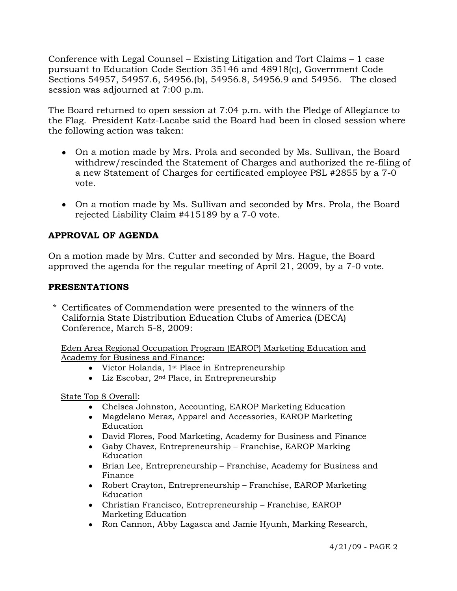Conference with Legal Counsel – Existing Litigation and Tort Claims – 1 case pursuant to Education Code Section 35146 and 48918(c), Government Code Sections 54957, 54957.6, 54956.(b), 54956.8, 54956.9 and 54956. The closed session was adjourned at 7:00 p.m.

The Board returned to open session at 7:04 p.m. with the Pledge of Allegiance to the Flag. President Katz-Lacabe said the Board had been in closed session where the following action was taken:

- On a motion made by Mrs. Prola and seconded by Ms. Sullivan, the Board withdrew/rescinded the Statement of Charges and authorized the re-filing of a new Statement of Charges for certificated employee PSL #2855 by a 7-0 vote.
- On a motion made by Ms. Sullivan and seconded by Mrs. Prola, the Board rejected Liability Claim #415189 by a 7-0 vote.

# **APPROVAL OF AGENDA**

On a motion made by Mrs. Cutter and seconded by Mrs. Hague, the Board approved the agenda for the regular meeting of April 21, 2009, by a 7-0 vote.

# **PRESENTATIONS**

\* Certificates of Commendation were presented to the winners of the California State Distribution Education Clubs of America (DECA) Conference, March 5-8, 2009:

Eden Area Regional Occupation Program (EAROP) Marketing Education and Academy for Business and Finance:

- Victor Holanda, 1<sup>st</sup> Place in Entrepreneurship
- Liz Escobar, 2nd Place, in Entrepreneurship

State Top 8 Overall:

- Chelsea Johnston, Accounting, EAROP Marketing Education
- Magdelano Meraz, Apparel and Accessories, EAROP Marketing Education
- David Flores, Food Marketing, Academy for Business and Finance
- Gaby Chavez, Entrepreneurship Franchise, EAROP Marking Education
- Brian Lee, Entrepreneurship Franchise, Academy for Business and Finance
- Robert Crayton, Entrepreneurship Franchise, EAROP Marketing Education
- Christian Francisco, Entrepreneurship Franchise, EAROP Marketing Education
- Ron Cannon, Abby Lagasca and Jamie Hyunh, Marking Research,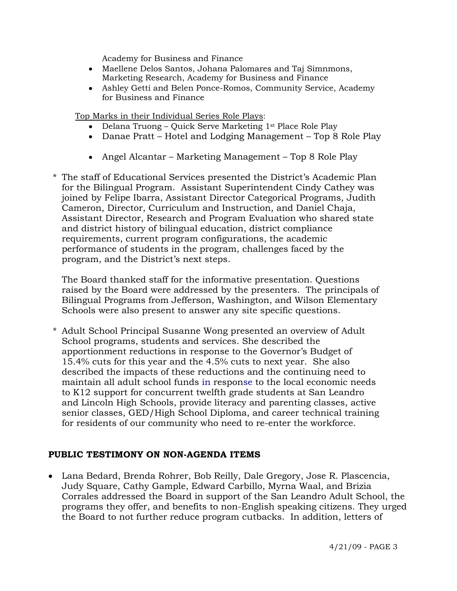Academy for Business and Finance

- Maellene Delos Santos, Johana Palomares and Taj Simnmons, Marketing Research, Academy for Business and Finance
- Ashley Getti and Belen Ponce-Romos, Community Service, Academy for Business and Finance

Top Marks in their Individual Series Role Plays:

- Delana Truong Quick Serve Marketing 1st Place Role Play
- Danae Pratt Hotel and Lodging Management Top 8 Role Play
- Angel Alcantar Marketing Management Top 8 Role Play
- \* The staff of Educational Services presented the District's Academic Plan for the Bilingual Program. Assistant Superintendent Cindy Cathey was joined by Felipe Ibarra, Assistant Director Categorical Programs, Judith Cameron, Director, Curriculum and Instruction, and Daniel Chaja, Assistant Director, Research and Program Evaluation who shared state and district history of bilingual education, district compliance requirements, current program configurations, the academic performance of students in the program, challenges faced by the program, and the District's next steps.

 The Board thanked staff for the informative presentation. Questions raised by the Board were addressed by the presenters. The principals of Bilingual Programs from Jefferson, Washington, and Wilson Elementary Schools were also present to answer any site specific questions.

\* Adult School Principal Susanne Wong presented an overview of Adult School programs, students and services. She described the apportionment reductions in response to the Governor's Budget of 15.4% cuts for this year and the 4.5% cuts to next year. She also described the impacts of these reductions and the continuing need to maintain all adult school funds in response to the local economic needs to K12 support for concurrent twelfth grade students at San Leandro and Lincoln High Schools, provide literacy and parenting classes, active senior classes, GED/High School Diploma, and career technical training for residents of our community who need to re-enter the workforce.

#### **PUBLIC TESTIMONY ON NON-AGENDA ITEMS**

• Lana Bedard, Brenda Rohrer, Bob Reilly, Dale Gregory, Jose R. Plascencia, Judy Square, Cathy Gample, Edward Carbillo, Myrna Waal, and Brizia Corrales addressed the Board in support of the San Leandro Adult School, the programs they offer, and benefits to non-English speaking citizens. They urged the Board to not further reduce program cutbacks. In addition, letters of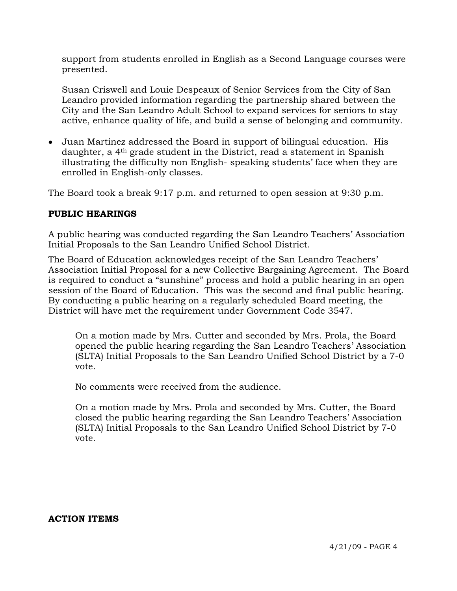support from students enrolled in English as a Second Language courses were presented.

Susan Criswell and Louie Despeaux of Senior Services from the City of San Leandro provided information regarding the partnership shared between the City and the San Leandro Adult School to expand services for seniors to stay active, enhance quality of life, and build a sense of belonging and community.

• Juan Martinez addressed the Board in support of bilingual education. His daughter, a 4th grade student in the District, read a statement in Spanish illustrating the difficulty non English- speaking students' face when they are enrolled in English-only classes.

The Board took a break 9:17 p.m. and returned to open session at 9:30 p.m.

# **PUBLIC HEARINGS**

A public hearing was conducted regarding the San Leandro Teachers' Association Initial Proposals to the San Leandro Unified School District.

The Board of Education acknowledges receipt of the San Leandro Teachers' Association Initial Proposal for a new Collective Bargaining Agreement. The Board is required to conduct a "sunshine" process and hold a public hearing in an open session of the Board of Education. This was the second and final public hearing. By conducting a public hearing on a regularly scheduled Board meeting, the District will have met the requirement under Government Code 3547.

On a motion made by Mrs. Cutter and seconded by Mrs. Prola, the Board opened the public hearing regarding the San Leandro Teachers' Association (SLTA) Initial Proposals to the San Leandro Unified School District by a 7-0 vote.

No comments were received from the audience.

On a motion made by Mrs. Prola and seconded by Mrs. Cutter, the Board closed the public hearing regarding the San Leandro Teachers' Association (SLTA) Initial Proposals to the San Leandro Unified School District by 7-0 vote.

#### **ACTION ITEMS**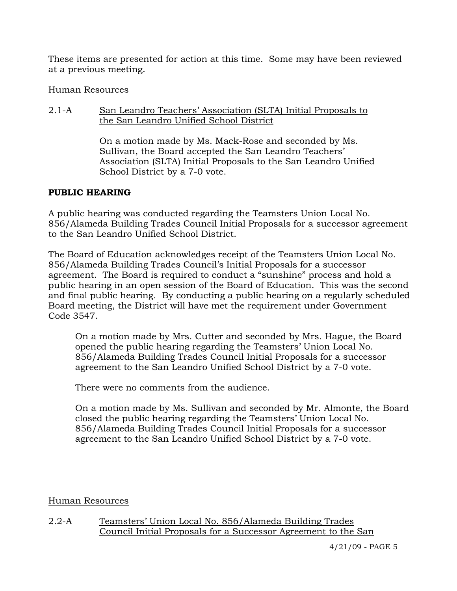These items are presented for action at this time. Some may have been reviewed at a previous meeting.

# Human Resources

2.1-A San Leandro Teachers' Association (SLTA) Initial Proposals to the San Leandro Unified School District

> On a motion made by Ms. Mack-Rose and seconded by Ms. Sullivan, the Board accepted the San Leandro Teachers' Association (SLTA) Initial Proposals to the San Leandro Unified School District by a 7-0 vote.

# **PUBLIC HEARING**

A public hearing was conducted regarding the Teamsters Union Local No. 856/Alameda Building Trades Council Initial Proposals for a successor agreement to the San Leandro Unified School District.

The Board of Education acknowledges receipt of the Teamsters Union Local No. 856/Alameda Building Trades Council's Initial Proposals for a successor agreement. The Board is required to conduct a "sunshine" process and hold a public hearing in an open session of the Board of Education. This was the second and final public hearing. By conducting a public hearing on a regularly scheduled Board meeting, the District will have met the requirement under Government Code 3547.

On a motion made by Mrs. Cutter and seconded by Mrs. Hague, the Board opened the public hearing regarding the Teamsters' Union Local No. 856/Alameda Building Trades Council Initial Proposals for a successor agreement to the San Leandro Unified School District by a 7-0 vote.

There were no comments from the audience.

On a motion made by Ms. Sullivan and seconded by Mr. Almonte, the Board closed the public hearing regarding the Teamsters' Union Local No. 856/Alameda Building Trades Council Initial Proposals for a successor agreement to the San Leandro Unified School District by a 7-0 vote.

# Human Resources

2.2-A Teamsters' Union Local No. 856/Alameda Building Trades Council Initial Proposals for a Successor Agreement to the San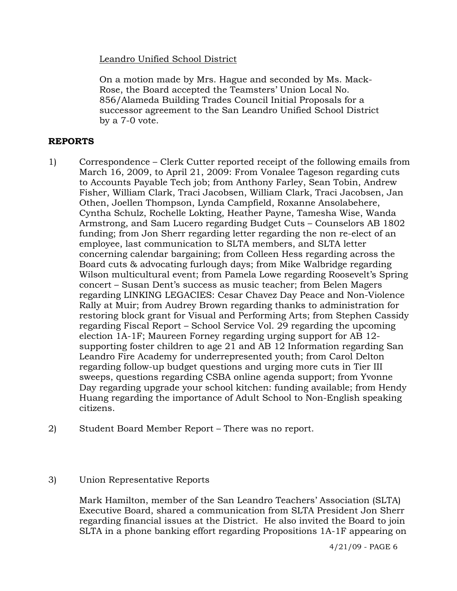# Leandro Unified School District

On a motion made by Mrs. Hague and seconded by Ms. Mack-Rose, the Board accepted the Teamsters' Union Local No. 856/Alameda Building Trades Council Initial Proposals for a successor agreement to the San Leandro Unified School District by a 7-0 vote.

#### **REPORTS**

- 1) Correspondence Clerk Cutter reported receipt of the following emails from March 16, 2009, to April 21, 2009: From Vonalee Tageson regarding cuts to Accounts Payable Tech job; from Anthony Farley, Sean Tobin, Andrew Fisher, William Clark, Traci Jacobsen, William Clark, Traci Jacobsen, Jan Othen, Joellen Thompson, Lynda Campfield, Roxanne Ansolabehere, Cyntha Schulz, Rochelle Lokting, Heather Payne, Tamesha Wise, Wanda Armstrong, and Sam Lucero regarding Budget Cuts – Counselors AB 1802 funding; from Jon Sherr regarding letter regarding the non re-elect of an employee, last communication to SLTA members, and SLTA letter concerning calendar bargaining; from Colleen Hess regarding across the Board cuts & advocating furlough days; from Mike Walbridge regarding Wilson multicultural event; from Pamela Lowe regarding Roosevelt's Spring concert – Susan Dent's success as music teacher; from Belen Magers regarding LINKING LEGACIES: Cesar Chavez Day Peace and Non-Violence Rally at Muir; from Audrey Brown regarding thanks to administration for restoring block grant for Visual and Performing Arts; from Stephen Cassidy regarding Fiscal Report – School Service Vol. 29 regarding the upcoming election 1A-1F; Maureen Forney regarding urging support for AB 12 supporting foster children to age 21 and AB 12 Information regarding San Leandro Fire Academy for underrepresented youth; from Carol Delton regarding follow-up budget questions and urging more cuts in Tier III sweeps, questions regarding CSBA online agenda support; from Yvonne Day regarding upgrade your school kitchen: funding available; from Hendy Huang regarding the importance of Adult School to Non-English speaking citizens.
- 2) Student Board Member Report There was no report.
- 3) Union Representative Reports

Mark Hamilton, member of the San Leandro Teachers' Association (SLTA) Executive Board, shared a communication from SLTA President Jon Sherr regarding financial issues at the District. He also invited the Board to join SLTA in a phone banking effort regarding Propositions 1A-1F appearing on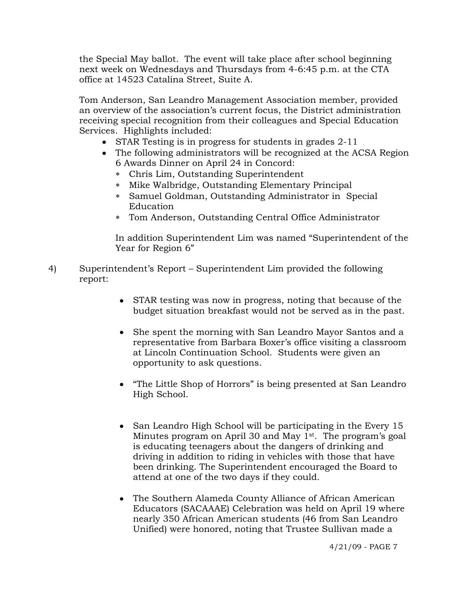the Special May ballot. The event will take place after school beginning next week on Wednesdays and Thursdays from 4-6:45 p.m. at the CTA office at 14523 Catalina Street, Suite A.

Tom Anderson, San Leandro Management Association member, provided an overview of the association's current focus, the District administration receiving special recognition from their colleagues and Special Education Services. Highlights included:

- STAR Testing is in progress for students in grades 2-11
- The following administrators will be recognized at the ACSA Region 6 Awards Dinner on April 24 in Concord:
	- ∗ Chris Lim, Outstanding Superintendent
	- ∗ Mike Walbridge, Outstanding Elementary Principal
	- ∗ Samuel Goldman, Outstanding Administrator in Special Education
	- ∗ Tom Anderson, Outstanding Central Office Administrator

In addition Superintendent Lim was named "Superintendent of the Year for Region 6"

- 4) Superintendent's Report Superintendent Lim provided the following report:
	- STAR testing was now in progress, noting that because of the budget situation breakfast would not be served as in the past.
	- She spent the morning with San Leandro Mayor Santos and a representative from Barbara Boxer's office visiting a classroom at Lincoln Continuation School. Students were given an opportunity to ask questions.
	- "The Little Shop of Horrors" is being presented at San Leandro High School.
	- San Leandro High School will be participating in the Every 15 Minutes program on April 30 and May 1<sup>st</sup>. The program's goal is educating teenagers about the dangers of drinking and driving in addition to riding in vehicles with those that have been drinking. The Superintendent encouraged the Board to attend at one of the two days if they could.
	- The Southern Alameda County Alliance of African American Educators (SACAAAE) Celebration was held on April 19 where nearly 350 African American students (46 from San Leandro Unified) were honored, noting that Trustee Sullivan made a

4/21/09 - PAGE 7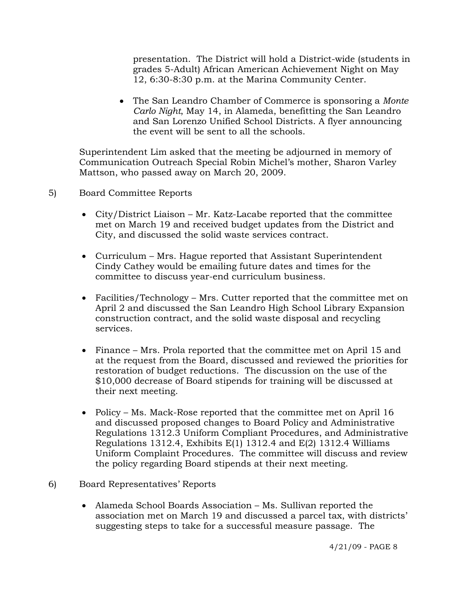presentation. The District will hold a District-wide (students in grades 5-Adult) African American Achievement Night on May 12, 6:30-8:30 p.m. at the Marina Community Center.

• The San Leandro Chamber of Commerce is sponsoring a *Monte Carlo Night*, May 14, in Alameda, benefitting the San Leandro and San Lorenzo Unified School Districts. A flyer announcing the event will be sent to all the schools.

Superintendent Lim asked that the meeting be adjourned in memory of Communication Outreach Special Robin Michel's mother, Sharon Varley Mattson, who passed away on March 20, 2009.

# 5) Board Committee Reports

- City/District Liaison Mr. Katz-Lacabe reported that the committee met on March 19 and received budget updates from the District and City, and discussed the solid waste services contract.
- Curriculum Mrs. Hague reported that Assistant Superintendent Cindy Cathey would be emailing future dates and times for the committee to discuss year-end curriculum business.
- Facilities/Technology Mrs. Cutter reported that the committee met on April 2 and discussed the San Leandro High School Library Expansion construction contract, and the solid waste disposal and recycling services.
- Finance Mrs. Prola reported that the committee met on April 15 and at the request from the Board, discussed and reviewed the priorities for restoration of budget reductions. The discussion on the use of the \$10,000 decrease of Board stipends for training will be discussed at their next meeting.
- Policy Ms. Mack-Rose reported that the committee met on April 16 and discussed proposed changes to Board Policy and Administrative Regulations 1312.3 Uniform Compliant Procedures, and Administrative Regulations 1312.4, Exhibits  $E(1)$  1312.4 and  $E(2)$  1312.4 Williams Uniform Complaint Procedures. The committee will discuss and review the policy regarding Board stipends at their next meeting.
- 6) Board Representatives' Reports
	- Alameda School Boards Association Ms. Sullivan reported the association met on March 19 and discussed a parcel tax, with districts' suggesting steps to take for a successful measure passage. The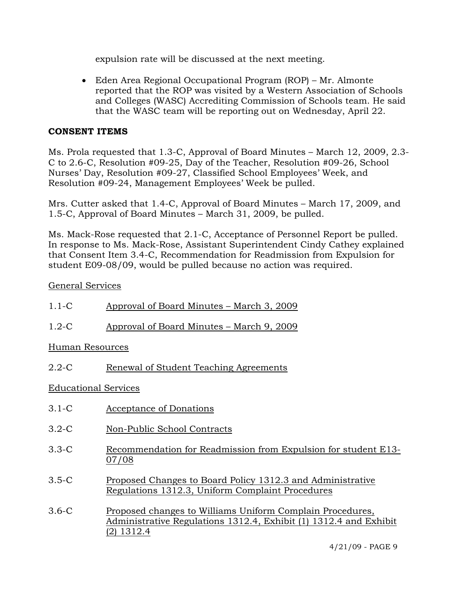expulsion rate will be discussed at the next meeting.

• Eden Area Regional Occupational Program (ROP) – Mr. Almonte reported that the ROP was visited by a Western Association of Schools and Colleges (WASC) Accrediting Commission of Schools team. He said that the WASC team will be reporting out on Wednesday, April 22.

# **CONSENT ITEMS**

Ms. Prola requested that 1.3-C, Approval of Board Minutes – March 12, 2009, 2.3- C to 2.6-C, Resolution #09-25, Day of the Teacher, Resolution #09-26, School Nurses' Day, Resolution #09-27, Classified School Employees' Week, and Resolution #09-24, Management Employees' Week be pulled.

Mrs. Cutter asked that 1.4-C, Approval of Board Minutes – March 17, 2009, and 1.5-C, Approval of Board Minutes – March 31, 2009, be pulled.

Ms. Mack-Rose requested that 2.1-C, Acceptance of Personnel Report be pulled. In response to Ms. Mack-Rose, Assistant Superintendent Cindy Cathey explained that Consent Item 3.4-C, Recommendation for Readmission from Expulsion for student E09-08/09, would be pulled because no action was required.

# General Services

| $1.1-C$         | Approval of Board Minutes – March 3, 2009 |
|-----------------|-------------------------------------------|
| $1.2-C$         | Approval of Board Minutes – March 9, 2009 |
| Human Resources |                                           |
| $2.2 - C$       | Renewal of Student Teaching Agreements    |

# Educational Services

- 3.1-C Acceptance of Donations
- 3.2-C Non-Public School Contracts
- 3.3-C Recommendation for Readmission from Expulsion for student E13- 07/08
- 3.5-C Proposed Changes to Board Policy 1312.3 and Administrative Regulations 1312.3, Uniform Complaint Procedures
- 3.6-C Proposed changes to Williams Uniform Complain Procedures, Administrative Regulations 1312.4, Exhibit (1) 1312.4 and Exhibit (2) 1312.4

4/21/09 - PAGE 9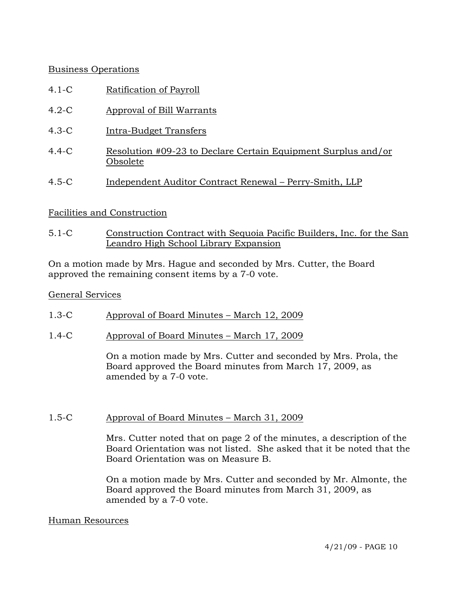# Business Operations

- 4.1-C Ratification of Payroll
- 4.2-C Approval of Bill Warrants
- 4.3-C Intra-Budget Transfers
- 4.4-C Resolution #09-23 to Declare Certain Equipment Surplus and/or Obsolete
- 4.5-C Independent Auditor Contract Renewal Perry-Smith, LLP

# Facilities and Construction

5.1-C Construction Contract with Sequoia Pacific Builders, Inc. for the San Leandro High School Library Expansion

On a motion made by Mrs. Hague and seconded by Mrs. Cutter, the Board approved the remaining consent items by a 7-0 vote.

### General Services

- 1.3-C Approval of Board Minutes March 12, 2009
- 1.4-C Approval of Board Minutes March 17, 2009

On a motion made by Mrs. Cutter and seconded by Mrs. Prola, the Board approved the Board minutes from March 17, 2009, as amended by a 7-0 vote.

# 1.5-C Approval of Board Minutes – March 31, 2009

Mrs. Cutter noted that on page 2 of the minutes, a description of the Board Orientation was not listed. She asked that it be noted that the Board Orientation was on Measure B.

On a motion made by Mrs. Cutter and seconded by Mr. Almonte, the Board approved the Board minutes from March 31, 2009, as amended by a 7-0 vote.

#### Human Resources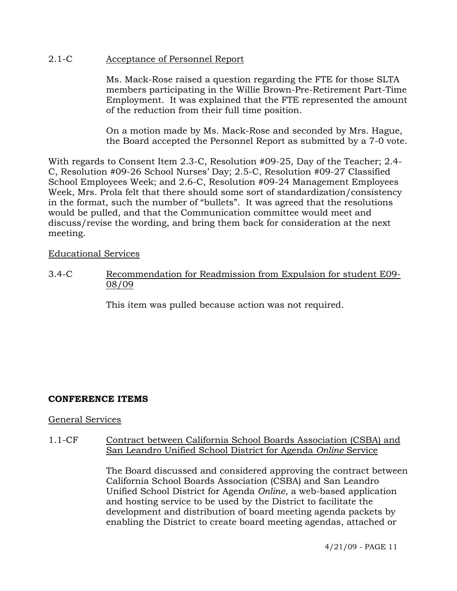### 2.1-C Acceptance of Personnel Report

Ms. Mack-Rose raised a question regarding the FTE for those SLTA members participating in the Willie Brown-Pre-Retirement Part-Time Employment. It was explained that the FTE represented the amount of the reduction from their full time position.

On a motion made by Ms. Mack-Rose and seconded by Mrs. Hague, the Board accepted the Personnel Report as submitted by a 7-0 vote.

With regards to Consent Item 2.3-C, Resolution #09-25, Day of the Teacher; 2.4- C, Resolution #09-26 School Nurses' Day; 2.5-C, Resolution #09-27 Classified School Employees Week; and 2.6-C, Resolution #09-24 Management Employees Week, Mrs. Prola felt that there should some sort of standardization/consistency in the format, such the number of "bullets". It was agreed that the resolutions would be pulled, and that the Communication committee would meet and discuss/revise the wording, and bring them back for consideration at the next meeting.

### Educational Services

3.4-C Recommendation for Readmission from Expulsion for student E09- 08/09

This item was pulled because action was not required.

# **CONFERENCE ITEMS**

#### General Services

#### 1.1-CF Contract between California School Boards Association (CSBA) and San Leandro Unified School District for Agenda *Online* Service

The Board discussed and considered approving the contract between California School Boards Association (CSBA) and San Leandro Unified School District for Agenda *Online*, a web-based application and hosting service to be used by the District to facilitate the development and distribution of board meeting agenda packets by enabling the District to create board meeting agendas, attached or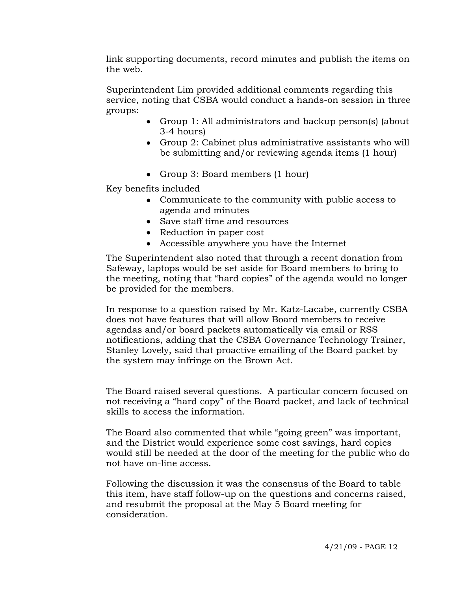link supporting documents, record minutes and publish the items on the web.

Superintendent Lim provided additional comments regarding this service, noting that CSBA would conduct a hands-on session in three groups:

- Group 1: All administrators and backup person(s) (about 3-4 hours)
- Group 2: Cabinet plus administrative assistants who will be submitting and/or reviewing agenda items (1 hour)
- Group 3: Board members (1 hour)

Key benefits included

- Communicate to the community with public access to agenda and minutes
- Save staff time and resources
- Reduction in paper cost
- Accessible anywhere you have the Internet

The Superintendent also noted that through a recent donation from Safeway, laptops would be set aside for Board members to bring to the meeting, noting that "hard copies" of the agenda would no longer be provided for the members.

In response to a question raised by Mr. Katz-Lacabe, currently CSBA does not have features that will allow Board members to receive agendas and/or board packets automatically via email or RSS notifications, adding that the CSBA Governance Technology Trainer, Stanley Lovely, said that proactive emailing of the Board packet by the system may infringe on the Brown Act.

The Board raised several questions. A particular concern focused on not receiving a "hard copy" of the Board packet, and lack of technical skills to access the information.

The Board also commented that while "going green" was important, and the District would experience some cost savings, hard copies would still be needed at the door of the meeting for the public who do not have on-line access.

Following the discussion it was the consensus of the Board to table this item, have staff follow-up on the questions and concerns raised, and resubmit the proposal at the May 5 Board meeting for consideration.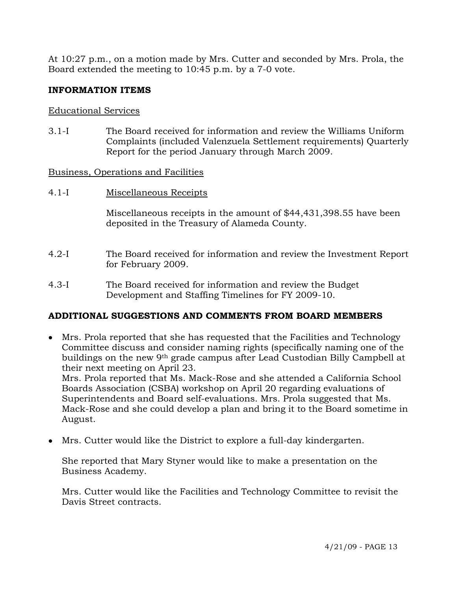At 10:27 p.m., on a motion made by Mrs. Cutter and seconded by Mrs. Prola, the Board extended the meeting to 10:45 p.m. by a 7-0 vote.

# **INFORMATION ITEMS**

### Educational Services

3.1-I The Board received for information and review the Williams Uniform Complaints (included Valenzuela Settlement requirements) Quarterly Report for the period January through March 2009.

### Business, Operations and Facilities

4.1-I Miscellaneous Receipts

Miscellaneous receipts in the amount of \$44,431,398.55 have been deposited in the Treasury of Alameda County.

- 4.2-I The Board received for information and review the Investment Report for February 2009.
- 4.3-I The Board received for information and review the Budget Development and Staffing Timelines for FY 2009-10.

# **ADDITIONAL SUGGESTIONS AND COMMENTS FROM BOARD MEMBERS**

• Mrs. Prola reported that she has requested that the Facilities and Technology Committee discuss and consider naming rights (specifically naming one of the buildings on the new 9th grade campus after Lead Custodian Billy Campbell at their next meeting on April 23.

Mrs. Prola reported that Ms. Mack-Rose and she attended a California School Boards Association (CSBA) workshop on April 20 regarding evaluations of Superintendents and Board self-evaluations. Mrs. Prola suggested that Ms. Mack-Rose and she could develop a plan and bring it to the Board sometime in August.

• Mrs. Cutter would like the District to explore a full-day kindergarten.

She reported that Mary Styner would like to make a presentation on the Business Academy.

Mrs. Cutter would like the Facilities and Technology Committee to revisit the Davis Street contracts.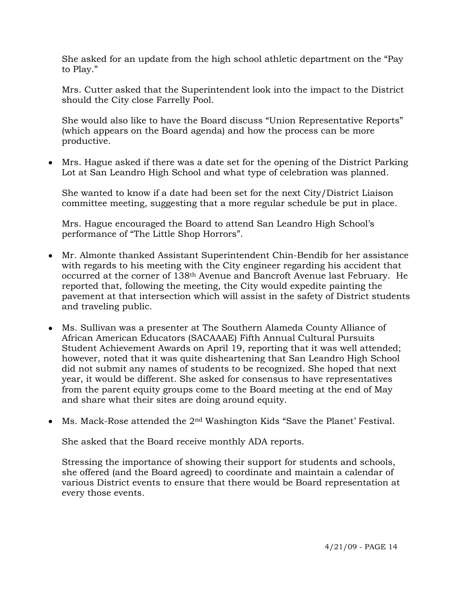She asked for an update from the high school athletic department on the "Pay to Play."

Mrs. Cutter asked that the Superintendent look into the impact to the District should the City close Farrelly Pool.

She would also like to have the Board discuss "Union Representative Reports" (which appears on the Board agenda) and how the process can be more productive.

• Mrs. Hague asked if there was a date set for the opening of the District Parking Lot at San Leandro High School and what type of celebration was planned.

She wanted to know if a date had been set for the next City/District Liaison committee meeting, suggesting that a more regular schedule be put in place.

Mrs. Hague encouraged the Board to attend San Leandro High School's performance of "The Little Shop Horrors".

- Mr. Almonte thanked Assistant Superintendent Chin-Bendib for her assistance with regards to his meeting with the City engineer regarding his accident that occurred at the corner of 138th Avenue and Bancroft Avenue last February. He reported that, following the meeting, the City would expedite painting the pavement at that intersection which will assist in the safety of District students and traveling public.
- Ms. Sullivan was a presenter at The Southern Alameda County Alliance of African American Educators (SACAAAE) Fifth Annual Cultural Pursuits Student Achievement Awards on April 19, reporting that it was well attended; however, noted that it was quite disheartening that San Leandro High School did not submit any names of students to be recognized. She hoped that next year, it would be different. She asked for consensus to have representatives from the parent equity groups come to the Board meeting at the end of May and share what their sites are doing around equity.
- Ms. Mack-Rose attended the 2<sup>nd</sup> Washington Kids "Save the Planet' Festival.

She asked that the Board receive monthly ADA reports.

Stressing the importance of showing their support for students and schools, she offered (and the Board agreed) to coordinate and maintain a calendar of various District events to ensure that there would be Board representation at every those events.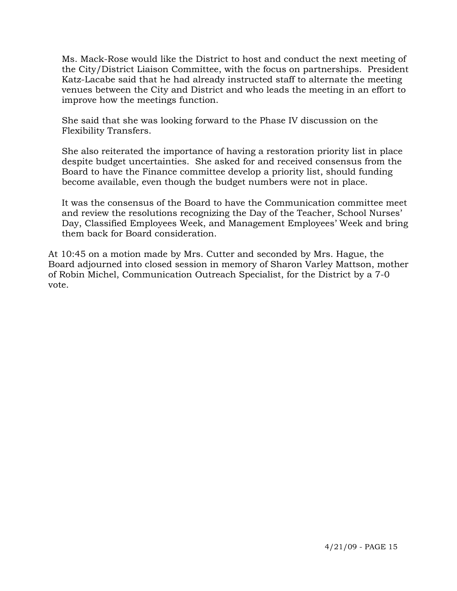Ms. Mack-Rose would like the District to host and conduct the next meeting of the City/District Liaison Committee, with the focus on partnerships. President Katz-Lacabe said that he had already instructed staff to alternate the meeting venues between the City and District and who leads the meeting in an effort to improve how the meetings function.

She said that she was looking forward to the Phase IV discussion on the Flexibility Transfers.

She also reiterated the importance of having a restoration priority list in place despite budget uncertainties. She asked for and received consensus from the Board to have the Finance committee develop a priority list, should funding become available, even though the budget numbers were not in place.

It was the consensus of the Board to have the Communication committee meet and review the resolutions recognizing the Day of the Teacher, School Nurses' Day, Classified Employees Week, and Management Employees' Week and bring them back for Board consideration.

At 10:45 on a motion made by Mrs. Cutter and seconded by Mrs. Hague, the Board adjourned into closed session in memory of Sharon Varley Mattson, mother of Robin Michel, Communication Outreach Specialist, for the District by a 7-0 vote.